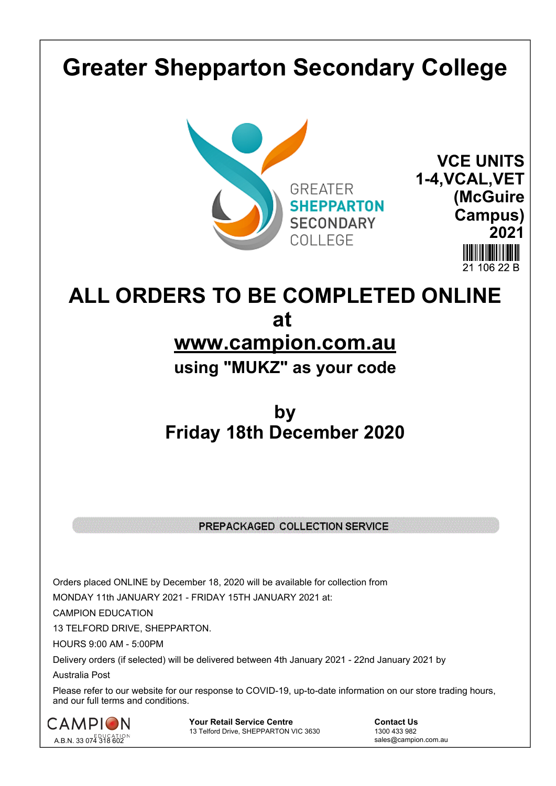## **Greater Shepparton Secondary College**





**ALL ORDERS TO BE COMPLETED ONLINE at www.campion.com.au**

**using "MUKZ" as your code**

## **by Friday 18th December 2020**

## PREPACKAGED COLLECTION SERVICE

Orders placed ONLINE by December 18, 2020 will be available for collection from

MONDAY 11th JANUARY 2021 - FRIDAY 15TH JANUARY 2021 at:

CAMPION EDUCATION

13 TELFORD DRIVE, SHEPPARTON.

HOURS 9:00 AM - 5:00PM

Delivery orders (if selected) will be delivered between 4th January 2021 - 22nd January 2021 by

Australia Post

Please refer to our website for our response to COVID-19, up-to-date information on our store trading hours, and our full terms and conditions.



**Your Retail Service Centre Contact Us**<br>
13 Telford Drive, SHEPPARTON VIC 3630

1300 433 982 13 Telford Drive, SHEPPARTON VIC 3630

sales@campion.com.au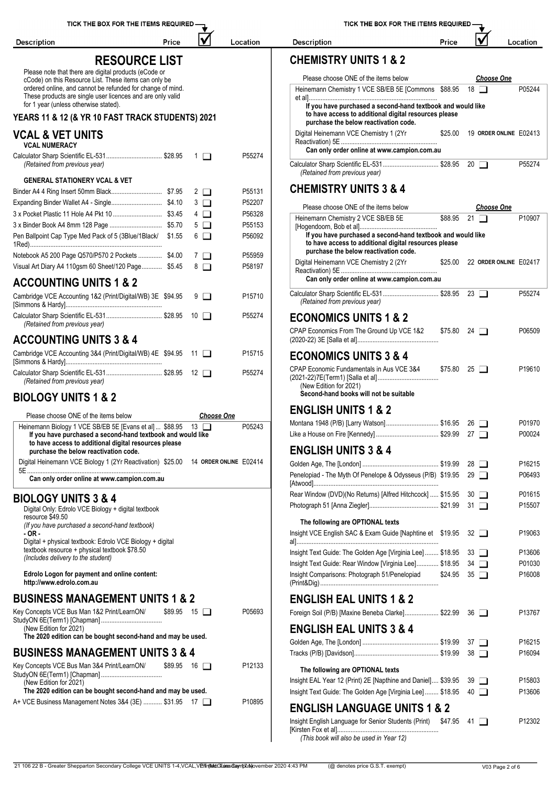|                                                                                                                            |                    |                                                                                                                                                               |         | ✔                              |                        |
|----------------------------------------------------------------------------------------------------------------------------|--------------------|---------------------------------------------------------------------------------------------------------------------------------------------------------------|---------|--------------------------------|------------------------|
| <b>Description</b><br>Price                                                                                                | Location           | <b>Description</b>                                                                                                                                            | Price   |                                | Location               |
| <b>RESOURCE LIST</b>                                                                                                       |                    | <b>CHEMISTRY UNITS 1 &amp; 2</b>                                                                                                                              |         |                                |                        |
| Please note that there are digital products (eCode or<br>cCode) on this Resource List. These items can only be             |                    | Please choose ONE of the items below                                                                                                                          |         | <b>Choose One</b>              |                        |
| ordered online, and cannot be refunded for change of mind.<br>These products are single user licences and are only valid   |                    | Heinemann Chemistry 1 VCE SB/EB 5E [Commons \$88.95 18                                                                                                        |         |                                | P05244                 |
| for 1 year (unless otherwise stated).<br>YEARS 11 & 12 (& YR 10 FAST TRACK STUDENTS) 2021                                  |                    | If you have purchased a second-hand textbook and would like<br>to have access to additional digital resources please<br>purchase the below reactivation code. |         |                                |                        |
| <b>VCAL &amp; VET UNITS</b><br><b>VCAL NUMERACY</b>                                                                        |                    | Digital Heinemann VCE Chemistry 1 (2Yr                                                                                                                        | \$25.00 |                                | 19 ORDER ONLINE E02413 |
| Calculator Sharp Scientific EL-531 \$28.95<br>$\Box$ 1 $\Box$                                                              | P55274             | Can only order online at www.campion.com.au                                                                                                                   |         |                                |                        |
| (Retained from previous year)                                                                                              |                    | Calculator Sharp Scientific EL-531 \$28.95 20<br>(Retained from previous year)                                                                                |         |                                | P55274                 |
| <b>GENERAL STATIONERY VCAL &amp; VET</b>                                                                                   |                    | <b>CHEMISTRY UNITS 3 &amp; 4</b>                                                                                                                              |         |                                |                        |
| $2\Box$<br>$3$ $\Box$                                                                                                      | P55131<br>P52207   |                                                                                                                                                               |         |                                |                        |
| $4\Box$                                                                                                                    | P56328             | Please choose ONE of the items below                                                                                                                          |         | <b>Choose One</b>              |                        |
| $5\Box$                                                                                                                    | P55153             | Heinemann Chemistry 2 VCE SB/EB 5E                                                                                                                            | \$88.95 | 21 $\Box$                      | P10907                 |
| Pen Ballpoint Cap Type Med Pack of 5 (3Blue/1Black/ \$1.55<br>6 □                                                          | P56092             | If you have purchased a second-hand textbook and would like<br>to have access to additional digital resources please                                          |         |                                |                        |
| Notebook A5 200 Page Q570/P570 2 Pockets  \$4.00<br>$7\Box$                                                                | P55959             | purchase the below reactivation code.                                                                                                                         |         |                                |                        |
| Visual Art Diary A4 110gsm 60 Sheet/120 Page \$5.45<br>$8$ $\Box$                                                          | P58197             | Digital Heinemann VCE Chemistry 2 (2Yr                                                                                                                        |         | \$25.00 22 ORDER ONLINE E02417 |                        |
| <b>ACCOUNTING UNITS 1 &amp; 2</b>                                                                                          |                    | Can only order online at www.campion.com.au                                                                                                                   |         |                                |                        |
| Cambridge VCE Accounting 1&2 (Print/Digital/WB) 3E \$94.95<br>9 □                                                          | P15710             | Calculator Sharp Scientific EL-531 \$28.95 23<br>(Retained from previous year)                                                                                |         |                                | P55274                 |
| Calculator Sharp Scientific EL-531 \$28.95<br>10 $\Box$<br>(Retained from previous year)                                   | P55274             | <b>ECONOMICS UNITS 1 &amp; 2</b>                                                                                                                              |         |                                |                        |
| <b>ACCOUNTING UNITS 3 &amp; 4</b>                                                                                          |                    | CPAP Economics From The Ground Up VCE 1&2                                                                                                                     |         | $$75.80$ 24 $\Box$             | P06509                 |
| Cambridge VCE Accounting 3&4 (Print/Digital/WB) 4E \$94.95 11                                                              | P <sub>15715</sub> | <b>ECONOMICS UNITS 3 &amp; 4</b><br>CPAP Economic Fundamentals in Aus VCE 3&4                                                                                 |         |                                | P19610                 |
| Calculator Sharp Scientific EL-531 \$28.95 12<br>(Retained from previous year)                                             | P55274             | (New Edition for 2021)                                                                                                                                        |         | $$75.80$ 25 $\Box$             |                        |
| <b>BIOLOGY UNITS 1 &amp; 2</b>                                                                                             |                    | Second-hand books will not be suitable                                                                                                                        |         |                                |                        |
| Please choose ONE of the items below<br><b>Choose One</b>                                                                  |                    | <b>ENGLISH UNITS 1 &amp; 2</b>                                                                                                                                |         |                                |                        |
| Heinemann Biology 1 VCE SB/EB 5E [Evans et al]  \$88.95 13                                                                 | P05243             | Montana 1948 (P/B) [Larry Watson]\$16.95 26                                                                                                                   |         |                                | P01970                 |
| If you have purchased a second-hand textbook and would like<br>to have access to additional digital resources please       |                    | <b>ENGLISH UNITS 3 &amp; 4</b>                                                                                                                                |         |                                | P00024                 |
| purchase the below reactivation code.<br>Digital Heinemann VCE Biology 1 (2Yr Reactivation) \$25.00 14 ORDER ONLINE E02414 |                    |                                                                                                                                                               |         |                                |                        |
|                                                                                                                            |                    |                                                                                                                                                               |         |                                | P16215                 |
| Can only order online at www.campion.com.au                                                                                |                    | Penelopiad - The Myth Of Penelope & Odysseus (P/B) \$19.95 29 □                                                                                               |         |                                | P06493                 |
| <b>BIOLOGY UNITS 3 &amp; 4</b>                                                                                             |                    | Rear Window (DVD)(No Returns) [Alfred Hitchcock]  \$15.95 30                                                                                                  |         |                                | P01615                 |
| Digital Only: Edrolo VCE Biology + digital textbook<br>resource \$49.50                                                    |                    | The following are OPTIONAL texts                                                                                                                              |         |                                | P15507                 |
| (If you have purchased a second-hand textbook)<br>- OR -<br>Digital + physical textbook: Edrolo VCE Biology + digital      |                    | Insight VCE English SAC & Exam Guide [Naphtine et \$19.95 32 □                                                                                                |         |                                | P19063                 |
| textbook resource + physical textbook \$78.50                                                                              |                    | Insight Text Guide: The Golden Age [Virginia Lee]  \$18.95 33                                                                                                 |         |                                | P13606                 |
| (Includes delivery to the student)                                                                                         |                    | Insight Text Guide: Rear Window [Virginia Lee] \$18.95 34                                                                                                     |         |                                | P01030                 |
| Edrolo Logon for payment and online content:<br>http://www.edrolo.com.au                                                   |                    | Insight Comparisons: Photograph 51/Penelopiad                                                                                                                 |         | $$24.95$ 35 $\Box$             | P16008                 |
| <b>BUSINESS MANAGEMENT UNITS 1 &amp; 2</b>                                                                                 |                    | <b>ENGLISH EAL UNITS 1 &amp; 2</b>                                                                                                                            |         |                                |                        |
| Key Concepts VCE Bus Man 1&2 Print/LearnON/<br>$$89.95$ 15 $\Box$                                                          | P05693             | Foreign Soil (P/B) [Maxine Beneba Clarke] \$22.99 36                                                                                                          |         |                                | P13767                 |
| (New Edition for 2021)                                                                                                     |                    | <b>ENGLISH EAL UNITS 3 &amp; 4</b>                                                                                                                            |         |                                |                        |
| The 2020 edition can be bought second-hand and may be used.                                                                |                    |                                                                                                                                                               |         |                                | P16215                 |
| <b>BUSINESS MANAGEMENT UNITS 3 &amp; 4</b>                                                                                 |                    |                                                                                                                                                               |         |                                | P16094                 |
| Key Concepts VCE Bus Man 3&4 Print/LearnON/<br>$$89.95$ 16 $\Box$                                                          | P12133             | The following are OPTIONAL texts                                                                                                                              |         |                                |                        |
| (New Edition for 2021)                                                                                                     |                    | Insight EAL Year 12 (Print) 2E [Napthine and Daniel] \$39.95 39                                                                                               |         |                                | P15803                 |
| The 2020 edition can be bought second-hand and may be used.<br>A+ VCE Business Management Notes 3&4 (3E)  \$31.95 17       | P10895             | Insight Text Guide: The Golden Age [Virginia Lee]  \$18.95 40<br><b>ENGLISH LANGUAGE UNITS 1 &amp; 2</b>                                                      |         |                                | P13606                 |
|                                                                                                                            |                    |                                                                                                                                                               |         |                                | P12302                 |
|                                                                                                                            |                    | Insight English Language for Senior Students (Print) \$47.95 41<br>(This book will also be used in Year 12)                                                   |         |                                |                        |

21 106 22 B - Greater Shepparton Secondary College VCE UNITS 1-4, VCAL, VErinted: Tuesday nt Mayovember 2020 4:43 PM (@ denotes price G.S.T. exempt) V03 Page 2 of 6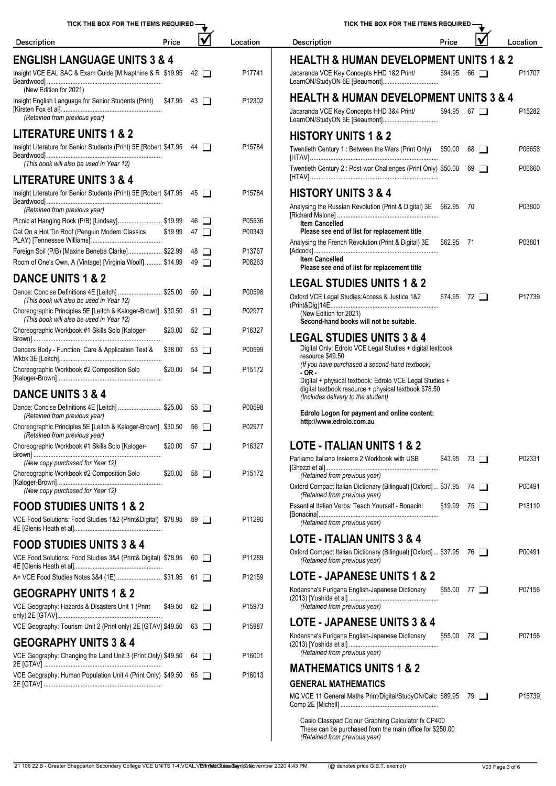| TICK THE BOX FOR THE ITEMS REQUIRED -                                                                     |                    |              |                    | TICK THE BOX FOR THE ITEMS REQUIRED.                                                                                                 |             |
|-----------------------------------------------------------------------------------------------------------|--------------------|--------------|--------------------|--------------------------------------------------------------------------------------------------------------------------------------|-------------|
| Price<br><b>Description</b>                                                                               |                    |              | Location           | <b>Description</b><br>Price                                                                                                          |             |
| <b>ENGLISH LANGUAGE UNITS 3 &amp; 4</b>                                                                   |                    |              |                    | <b>HEALTH &amp; HUMAN DEVELOPMENT UN</b>                                                                                             |             |
| Insight VCE EAL SAC & Exam Guide [M Napthine & R \$19.95<br>(New Edition for 2021)                        |                    | $42 \square$ | P17741             | Jacaranda VCE Key Concepts HHD 1&2 Print/                                                                                            | \$94.95 66  |
| Insight English Language for Senior Students (Print) \$47.95 43<br>(Retained from previous year)          |                    |              | P12302             | <b>HEALTH &amp; HUMAN DEVELOPMENT UN</b><br>Jacaranda VCE Key Concepts HHD 3&4 Print/<br>LearnON/StudyON 6E [Beaumont]               | $$94.95$ 67 |
| <b>LITERATURE UNITS 1 &amp; 2</b>                                                                         |                    |              |                    |                                                                                                                                      |             |
| Insight Literature for Senior Students (Print) 5E [Robert \$47.95 44                                      |                    |              | P15784             | <b>HISTORY UNITS 1 &amp; 2</b><br>Twentieth Century 1: Between the Wars (Print Only) \$50.00 68                                      |             |
| (This book will also be used in Year 12)                                                                  |                    |              |                    | Twentieth Century 2 : Post-war Challenges (Print Only) \$50.00                                                                       | 69          |
| <b>LITERATURE UNITS 3 &amp; 4</b>                                                                         |                    |              |                    |                                                                                                                                      |             |
| Insight Literature for Senior Students (Print) 5E [Robert \$47.95 45<br>(Retained from previous year)     |                    |              | P15784             | <b>HISTORY UNITS 3 &amp; 4</b><br>Analysing the Russian Revolution (Print & Digital) 3E \$62.95 70                                   |             |
| Picnic at Hanging Rock (P/B) [Lindsay] \$19.99                                                            | 46                 | $\Box$       | P05536             | <b>Item Cancelled</b>                                                                                                                |             |
| Cat On a Hot Tin Roof (Penguin Modern Classics                                                            | \$19.99            | 47 $\Box$    | P00343             | Please see end of list for replacement title<br>Analysing the French Revolution (Print & Digital) 3E                                 | $$62.95$ 7  |
| Foreign Soil (P/B) [Maxine Beneba Clarke] \$22.99                                                         |                    | 48 □         | P13767             | <b>Item Cancelled</b>                                                                                                                |             |
| Room of One's Own, A (Vintage) [Virginia Woolf] \$14.99                                                   |                    | $49$ $\Box$  | P08263             | Please see end of list for replacement title                                                                                         |             |
| <b>DANCE UNITS 1 &amp; 2</b>                                                                              |                    |              |                    | <b>LEGAL STUDIES UNITS 1 &amp; 2</b>                                                                                                 |             |
| Dance: Concise Definitions 4E [Leitch]  \$25.00<br>(This book will also be used in Year 12)               |                    | $50$ $\Box$  | P00598             | Oxford VCE Legal Studies: Access & Justice 1&2<br>\$74.95 72                                                                         |             |
| Choreographic Principles 5E [Leitch & Kaloger-Brown]. \$30.50<br>(This book will also be used in Year 12) |                    | $51$ $\Box$  | P02977             | (New Edition for 2021)<br>Second-hand books will not be suitable.                                                                    |             |
| Choreographic Workbook #1 Skills Solo [Kaloger-<br>\$20.00                                                |                    | $52$ $\Box$  | P16327             | <b>LEGAL STUDIES UNITS 3 &amp; 4</b><br>Digital Only: Edrolo VCE Legal Studies + digital textbook                                    |             |
| Dancers Body - Function, Care & Application Text &<br>\$38.00                                             |                    | $53$ $\Box$  | P00599             | resource \$49.50                                                                                                                     |             |
| Choreographic Workbook #2 Composition Solo<br>\$20.00                                                     |                    | $54$ $\Box$  | P <sub>15172</sub> | (If you have purchased a second-hand textbook)<br>- OR -<br>Digital + physical textbook: Edrolo VCE Legal Studies +                  |             |
| <b>DANCE UNITS 3 &amp; 4</b>                                                                              |                    |              |                    | digital textbook resource + physical textbook \$78.50<br>(Includes delivery to the student)                                          |             |
| Dance: Concise Definitions 4E [Leitch]  \$25.00 55<br>(Retained from previous year)                       |                    |              | P00598             | Edrolo Logon for payment and online content:<br>http://www.edrolo.com.au                                                             |             |
| Choreographic Principles 5E [Leitch & Kaloger-Brown]. \$30.50 56<br>(Retained from previous year)         |                    |              | P02977             |                                                                                                                                      |             |
| Choreographic Workbook #1 Skills Solo [Kaloger-                                                           | $$20.00$ 57 $\Box$ |              | P16327             | <b>LOTE - ITALIAN UNITS 1 &amp; 2</b>                                                                                                |             |
| (New copy purchased for Year 12)<br>Choreographic Workbook #2 Composition Solo<br>\$20.00                 |                    | $58$ $\Box$  | P15172             | Parliamo Italiano Insieme 2 Workbook with USB                                                                                        | $$43.95$ 73 |
| (New copy purchased for Year 12)                                                                          |                    |              |                    | (Retained from previous year)<br>Oxford Compact Italian Dictionary (Bilingual) [Oxford]  \$37.95 74<br>(Retained from previous year) |             |
| <b>FOOD STUDIES UNITS 1 &amp; 2</b>                                                                       |                    |              |                    | Essential Italian Verbs: Teach Yourself - Bonacini<br>\$19.99                                                                        | -75         |
| VCE Food Solutions: Food Studies 1&2 (Print&Digital) \$78.95 59                                           |                    |              | P11290             | (Retained from previous year)                                                                                                        |             |
| <b>FOOD STUDIES UNITS 3 &amp; 4</b>                                                                       |                    |              |                    | <b>LOTE - ITALIAN UNITS 3 &amp; 4</b>                                                                                                |             |
| VCE Food Solutions: Food Studies 3&4 (Print& Digital) \$78.95                                             |                    | $60$ $\Box$  | P11289             | Oxford Compact Italian Dictionary (Bilingual) [Oxford] \$37.95 76<br>(Retained from previous year)                                   |             |
| A+ VCE Food Studies Notes 3&4 (1E) \$31.95                                                                |                    | 61 $\Box$    | P12159             | <b>LOTE - JAPANESE UNITS 1 &amp; 2</b>                                                                                               |             |
| <b>GEOGRAPHY UNITS 1 &amp; 2</b>                                                                          |                    |              |                    | Kodansha's Furigana English-Japanese Dictionary                                                                                      | \$55.00 77  |
| VCE Geography: Hazards & Disasters Unit 1 (Print<br>\$49.50                                               |                    | $62$ $\Box$  | P15973             | (Retained from previous year)                                                                                                        |             |
| VCE Geography: Tourism Unit 2 (Print only) 2E [GTAV] \$49.50                                              |                    | $63$ $\Box$  | P15987             | <b>LOTE - JAPANESE UNITS 3 &amp; 4</b>                                                                                               |             |
| <b>GEOGRAPHY UNITS 3 &amp; 4</b><br>VCE Geography: Changing the Land Unit 3 (Print Only) \$49.50          |                    | 64 □         | P16001             | Kodansha's Furigana English-Japanese Dictionary<br>(Retained from previous year)                                                     | \$55.00 78  |
|                                                                                                           |                    |              |                    | <b>MATHEMATICS UNITS 1 &amp; 2</b>                                                                                                   |             |
| VCE Geography: Human Population Unit 4 (Print Only) \$49.50                                               |                    | $65$ $\Box$  | P16013             | <b>GENERAL MATHEMATICS</b><br>MQ VCE 11 General Maths Print/Digital/StudyON/Calc \$89.95 79                                          |             |

| <b>Description</b>                                                                                                                                                                                                                                                                                                                          | Price              |        |             | Location           |
|---------------------------------------------------------------------------------------------------------------------------------------------------------------------------------------------------------------------------------------------------------------------------------------------------------------------------------------------|--------------------|--------|-------------|--------------------|
| <b>HEALTH &amp; HUMAN DEVELOPMENT UNITS 1 &amp; 2</b>                                                                                                                                                                                                                                                                                       |                    |        |             |                    |
| Jacaranda VCE Key Concepts HHD 1&2 Print/                                                                                                                                                                                                                                                                                                   | \$94.95            |        | $66$ $\Box$ | P11707             |
| HEALTH & HUMAN DEVELOPMENT UNITS 3 & 4                                                                                                                                                                                                                                                                                                      |                    |        |             |                    |
| Jacaranda VCE Key Concepts HHD 3&4 Print/<br>LearnON/StudyON 6E [Beaumont]                                                                                                                                                                                                                                                                  | $$94.95$ 67 $\Box$ |        |             | P <sub>15282</sub> |
| <b>HISTORY UNITS 1 &amp; 2</b>                                                                                                                                                                                                                                                                                                              |                    |        |             |                    |
| Twentieth Century 1: Between the Wars (Print Only) \$50.00                                                                                                                                                                                                                                                                                  |                    |        | $68$ $\Box$ | P06658             |
| Twentieth Century 2: Post-war Challenges (Print Only) \$50.00 69                                                                                                                                                                                                                                                                            |                    |        |             | P06660             |
| <b>HISTORY UNITS 3 &amp; 4</b>                                                                                                                                                                                                                                                                                                              |                    |        |             |                    |
| Analysing the Russian Revolution (Print & Digital) 3E \$62.95                                                                                                                                                                                                                                                                               |                    | -70    |             | P03800             |
| <b>Item Cancelled</b>                                                                                                                                                                                                                                                                                                                       |                    |        |             |                    |
| Please see end of list for replacement title<br>Analysing the French Revolution (Print & Digital) 3E                                                                                                                                                                                                                                        | \$62.95 71         |        |             | P03801             |
| <b>Item Cancelled</b><br>Please see end of list for replacement title                                                                                                                                                                                                                                                                       |                    |        |             |                    |
| <b>LEGAL STUDIES UNITS 1 &amp; 2</b>                                                                                                                                                                                                                                                                                                        |                    |        |             |                    |
| Oxford VCE Legal Studies: Access & Justice 1&2                                                                                                                                                                                                                                                                                              | $$74.95$ 72        |        |             | P <sub>17739</sub> |
| (New Edition for 2021)<br>Second-hand books will not be suitable.                                                                                                                                                                                                                                                                           |                    |        |             |                    |
| <b>LEGAL STUDIES UNITS 3 &amp; 4</b><br>Digital Only: Edrolo VCE Legal Studies + digital textbook<br>resource \$49.50<br>(If you have purchased a second-hand textbook)<br>- OR -<br>Digital + physical textbook: Edrolo VCE Legal Studies +<br>digital textbook resource + physical textbook \$78.50<br>(Includes delivery to the student) |                    |        |             |                    |
| Edrolo Logon for payment and online content:<br>http://www.edrolo.com.au                                                                                                                                                                                                                                                                    |                    |        |             |                    |
| LOTE - ITALIAN UNITS 1 & 2                                                                                                                                                                                                                                                                                                                  |                    |        |             |                    |
| Parliamo Italiano Insieme 2 Workbook with USB                                                                                                                                                                                                                                                                                               | \$43.95            |        | 73 ∟        | P02331             |
| (Retained from previous year)<br>Oxford Compact Italian Dictionary (Bilingual) [Oxford] \$37.95                                                                                                                                                                                                                                             |                    |        | 74 <b>T</b> | P00491             |
| (Retained from previous year)<br>Essential Italian Verbs: Teach Yourself - Bonacini                                                                                                                                                                                                                                                         | \$19.99            |        | 75 L I      | P <sub>18110</sub> |
| (Retained from previous year)                                                                                                                                                                                                                                                                                                               |                    |        |             |                    |
| LOTE - ITALIAN UNITS 3 & 4                                                                                                                                                                                                                                                                                                                  |                    |        |             |                    |
| Oxford Compact Italian Dictionary (Bilingual) [Oxford] \$37.95 76<br>(Retained from previous year)                                                                                                                                                                                                                                          |                    |        |             | P00491             |
| <b>LOTE - JAPANESE UNITS 1 &amp; 2</b>                                                                                                                                                                                                                                                                                                      |                    |        |             |                    |
| Kodansha's Furigana English-Japanese Dictionary<br>(Retained from previous year)                                                                                                                                                                                                                                                            | \$55.00            | 77 I I |             | P07156             |
| <b>LOTE - JAPANESE UNITS 3 &amp; 4</b>                                                                                                                                                                                                                                                                                                      |                    |        |             |                    |
| Kodansha's Furigana English-Japanese Dictionary<br>(Retained from previous year)                                                                                                                                                                                                                                                            | \$55.00            |        | 78 I I      | P07156             |
| <b>MATHEMATICS UNITS 1 &amp; 2</b>                                                                                                                                                                                                                                                                                                          |                    |        |             |                    |
| <b>GENERAL MATHEMATICS</b>                                                                                                                                                                                                                                                                                                                  |                    |        |             |                    |
| MQ VCE 11 General Maths Print/Digital/StudyON/Calc \$89.95 79                                                                                                                                                                                                                                                                               |                    |        |             | P <sub>15739</sub> |
| Casio Classpad Colour Graphing Calculator fx CP400<br>These can be purchased from the main office for \$250.00                                                                                                                                                                                                                              |                    |        |             |                    |

*(Retained from previous year)*

21 106 22 B - Greater Shepparton Secondary College VCE UNITS 1-4, VCAL, VErfinted: Tuires Campt Tubbovember 2020 4:43 PM (@ denotes price G.S.T. exempt) V03 Page 3 of 6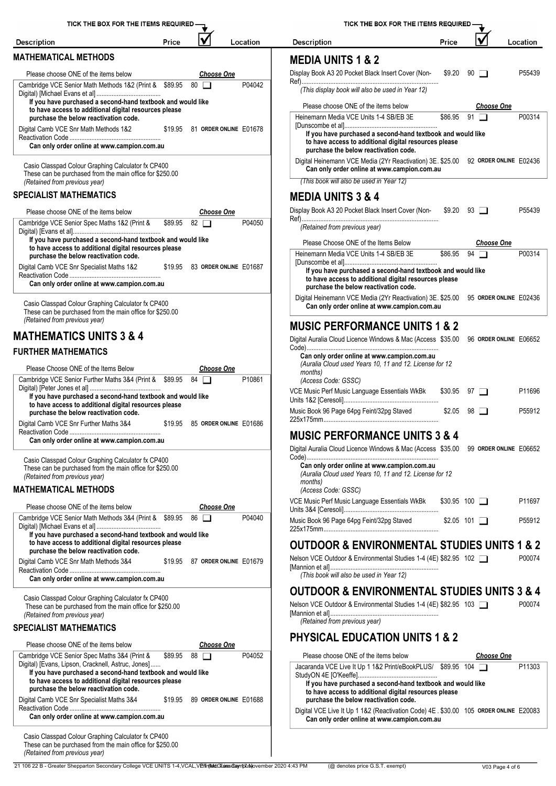| TICK THE BOX FOR THE ITEMS REQUIRED -                                                                                                                                                                                                                               |         |                   |                                | TICK THE                                                                                                 |
|---------------------------------------------------------------------------------------------------------------------------------------------------------------------------------------------------------------------------------------------------------------------|---------|-------------------|--------------------------------|----------------------------------------------------------------------------------------------------------|
| <b>Description</b>                                                                                                                                                                                                                                                  | Price   |                   | Location                       | <b>Description</b>                                                                                       |
| <b>MATHEMATICAL METHODS</b>                                                                                                                                                                                                                                         |         |                   |                                | <b>MEDIA UNITS 1 &amp;</b>                                                                               |
| Please choose ONE of the items below                                                                                                                                                                                                                                |         | <u>Choose One</u> |                                | Display Book A3 20 Pocket Bla                                                                            |
| Cambridge VCE Senior Math Methods 1&2 (Print & \$89.95                                                                                                                                                                                                              |         | $80$ $\Box$       | P04042                         | (This display book will also                                                                             |
| If you have purchased a second-hand textbook and would like<br>to have access to additional digital resources please                                                                                                                                                |         |                   |                                | Please choose ONE of the                                                                                 |
| purchase the below reactivation code.                                                                                                                                                                                                                               |         |                   |                                | Heinemann Media VCE Unit                                                                                 |
| Digital Camb VCE Snr Math Methods 1&2<br>Can only order online at www.campion.com.au                                                                                                                                                                                | \$19.95 |                   | 81 ORDER ONLINE E01678         | [Dunscombe et al]<br>If you have purchased<br>to have access to addit<br>purchase the below rea          |
|                                                                                                                                                                                                                                                                     |         |                   |                                | Digital Heinemann VCE Med                                                                                |
| Casio Classpad Colour Graphing Calculator fx CP400<br>These can be purchased from the main office for \$250.00<br>(Retained from previous year)                                                                                                                     |         |                   |                                | Can only order online a<br>(This book will also be use                                                   |
| <b>SPECIALIST MATHEMATICS</b>                                                                                                                                                                                                                                       |         |                   |                                |                                                                                                          |
|                                                                                                                                                                                                                                                                     |         |                   |                                | <b>MEDIA UNITS 3 &amp;</b>                                                                               |
| Please choose ONE of the items below                                                                                                                                                                                                                                |         | <b>Choose One</b> |                                | Display Book A3 20 Pocket Bla                                                                            |
| Cambridge VCE Senior Spec Maths 1&2 (Print &<br>If you have purchased a second-hand textbook and would like                                                                                                                                                         | \$89.95 | $82$ $\Box$       | P04050                         | (Retained from previous ye                                                                               |
| to have access to additional digital resources please<br>purchase the below reactivation code.                                                                                                                                                                      |         |                   |                                | Please Choose ONE of th<br>Heinemann Media VCE Unit                                                      |
| Digital Camb VCE Snr Specialist Maths 1&2                                                                                                                                                                                                                           | \$19.95 |                   | 83 ORDER ONLINE E01687         | [Dunscombe et al]<br>If you have purchased                                                               |
| Can only order online at www.campion.com.au                                                                                                                                                                                                                         |         |                   |                                | to have access to addit<br>purchase the below rea                                                        |
| Casio Classpad Colour Graphing Calculator fx CP400<br>These can be purchased from the main office for \$250.00                                                                                                                                                      |         |                   |                                | Digital Heinemann VCE Med<br>Can only order online a                                                     |
| (Retained from previous year)                                                                                                                                                                                                                                       |         |                   |                                | <b>MUSIC PERFORM</b>                                                                                     |
| <b>MATHEMATICS UNITS 3 &amp; 4</b>                                                                                                                                                                                                                                  |         |                   |                                | Digital Auralia Cloud Licence V                                                                          |
| <b>FURTHER MATHEMATICS</b>                                                                                                                                                                                                                                          |         |                   |                                | Can only order online at                                                                                 |
| Please Choose ONE of the Items Below                                                                                                                                                                                                                                |         | <u>Choose One</u> |                                | (Auralia Cloud used Years<br>months)                                                                     |
| Cambridge VCE Senior Further Maths 3&4 (Print & \$89.95<br>If you have purchased a second-hand textbook and would like                                                                                                                                              |         | 84                | P10861                         | (Access Code: GSSC)<br>VCE Music Perf Music Langua                                                       |
| to have access to additional digital resources please<br>purchase the below reactivation code.                                                                                                                                                                      |         |                   |                                | Units 1&2 [Ceresoli]<br>Music Book 96 Page 64pg Feir                                                     |
| Digital Camb VCE Snr Further Maths 3&4                                                                                                                                                                                                                              | \$19.95 |                   | 85 ORDER ONLINE E01686         | 225x175mm                                                                                                |
| Can only order online at www.campion.com.au                                                                                                                                                                                                                         |         |                   |                                | <b>MUSIC PERFORM</b><br>Digital Auralia Cloud Licence V                                                  |
| Casio Classpad Colour Graphing Calculator fx CP400<br>These can be purchased from the main office for \$250.00<br>(Retained from previous year)                                                                                                                     |         |                   |                                | Can only order online at<br>(Auralia Cloud used Years                                                    |
| <b>MATHEMATICAL METHODS</b>                                                                                                                                                                                                                                         |         |                   |                                | months)<br>(Access Code: GSSC)                                                                           |
| Please choose ONE of the items below                                                                                                                                                                                                                                |         | <b>Choose One</b> |                                | VCE Music Perf Music Langua<br>Units 3&4 [Ceresoli]                                                      |
| Cambridge VCE Senior Math Methods 3&4 (Print & \$89.95                                                                                                                                                                                                              |         | $86$ $\Box$       | P04040                         | Music Book 96 Page 64pg Feir                                                                             |
| If you have purchased a second-hand textbook and would like<br>to have access to additional digital resources please<br>purchase the below reactivation code.                                                                                                       |         |                   |                                | 225x175mm<br><b>OUTDOOR &amp; ENV</b>                                                                    |
| Digital Camb VCE Snr Math Methods 3&4                                                                                                                                                                                                                               |         |                   | \$19.95 87 ORDER ONLINE E01679 | Nelson VCE Outdoor & Enviror                                                                             |
| Can only order online at www.campion.com.au                                                                                                                                                                                                                         |         |                   |                                | [Mannion et al]<br>(This book will also be use                                                           |
| Casio Classpad Colour Graphing Calculator fx CP400                                                                                                                                                                                                                  |         |                   |                                | <b>OUTDOOR &amp; ENV</b>                                                                                 |
| These can be purchased from the main office for \$250.00<br>(Retained from previous year)                                                                                                                                                                           |         |                   |                                | Nelson VCE Outdoor & Enviro<br>[Mannion et al]                                                           |
| <b>SPECIALIST MATHEMATICS</b>                                                                                                                                                                                                                                       |         |                   |                                | (Retained from previous ye                                                                               |
| Please choose ONE of the items below                                                                                                                                                                                                                                |         | <b>Choose One</b> |                                | <b>PHYSICAL EDUCA</b>                                                                                    |
| Cambridge VCE Senior Spec Maths 3&4 (Print &<br>Digital) [Evans, Lipson, Cracknell, Astruc, Jones]<br>If you have purchased a second-hand textbook and would like<br>to have access to additional digital resources please<br>purchase the below reactivation code. | \$89.95 | $88$ $\Box$       | P04052                         | Please choose ONE of the<br>Jacaranda VCE Live It Up 1<br>StudyON 4E [O'Keeffe]<br>If you have purchased |
| Digital Camb VCE Snr Specialist Maths 3&4                                                                                                                                                                                                                           | \$19.95 |                   | 89 ORDER ONLINE E01688         | to have access to addit<br>purchase the below rea                                                        |
| Can only order online at www.campion.com.au                                                                                                                                                                                                                         |         |                   |                                | Digital VCE Live It Up 1 1&2<br>Can only order online a                                                  |
| Casio Classpad Colour Graphing Calculator fx CP400<br>These can be purchased from the main office for \$250.00<br>(Retained from previous year)                                                                                                                     |         |                   |                                |                                                                                                          |

| <b>Description</b>                                                                                                                                                                                      | Price               |             |                        | Location |
|---------------------------------------------------------------------------------------------------------------------------------------------------------------------------------------------------------|---------------------|-------------|------------------------|----------|
| <b>MEDIA UNITS 1 &amp; 2</b>                                                                                                                                                                            |                     |             |                        |          |
| Display Book A3 20 Pocket Black Insert Cover (Non-                                                                                                                                                      | \$9.20              |             | $90$ $\Box$            | P55439   |
| (This display book will also be used in Year 12)                                                                                                                                                        |                     |             |                        |          |
| Please choose ONE of the items below                                                                                                                                                                    |                     |             | <b>Choose One</b>      |          |
| Heinemann Media VCE Units 1-4 SB/EB 3E<br>If you have purchased a second-hand textbook and would like<br>to have access to additional digital resources please<br>purchase the below reactivation code. | \$86.95             | $91$ $\Box$ |                        | P00314   |
| Digital Heinemann VCE Media (2Yr Reactivation) 3E. \$25.00 92 ORDER ONLINE E02436<br>Can only order online at www.campion.com.au                                                                        |                     |             |                        |          |
| (This book will also be used in Year 12)                                                                                                                                                                |                     |             |                        |          |
| <b>MEDIA UNITS 3 &amp; 4</b>                                                                                                                                                                            |                     |             |                        |          |
| Display Book A3 20 Pocket Black Insert Cover (Non-                                                                                                                                                      | $$9.20$ $93$ $\Box$ |             |                        | P55439   |
| (Retained from previous year)                                                                                                                                                                           |                     |             |                        |          |
| Please Choose ONE of the Items Below<br>Heinemann Media VCE Units 1-4 SB/EB 3E                                                                                                                          | \$86.95             | 94          | <b>Choose One</b>      | P00314   |
| If you have purchased a second-hand textbook and would like<br>to have access to additional digital resources please<br>purchase the below reactivation code.                                           |                     |             |                        |          |
| Digital Heinemann VCE Media (2Yr Reactivation) 3E, \$25,00<br>Can only order online at www.campion.com.au                                                                                               |                     |             | 95 ORDER ONLINE E02436 |          |
| <b>MUSIC PERFORMANCE UNITS 1 &amp; 2</b>                                                                                                                                                                |                     |             |                        |          |
| Digital Auralia Cloud Licence Windows & Mac (Access \$35.00                                                                                                                                             |                     |             | 96 ORDER ONLINE E06652 |          |
| Can only order online at www.campion.com.au<br>(Auralia Cloud used Years 10, 11 and 12. License for 12<br>months)<br>(Access Code: GSSC)                                                                |                     |             |                        |          |
| VCE Music Perf Music Language Essentials WkBk                                                                                                                                                           | \$30.95             |             | $97$ $\Box$            | P11696   |
| Music Book 96 Page 64pg Feint/32pg Staved                                                                                                                                                               | \$2.05              |             | 98 □                   | P55912   |
| <b>MUSIC PERFORMANCE UNITS 3 &amp; 4</b>                                                                                                                                                                |                     |             |                        |          |
| Digital Auralia Cloud Licence Windows & Mac (Access \$35.00 99 ORDER ONLINE E06652                                                                                                                      |                     |             |                        |          |
| Can only order online at www.campion.com.au<br>(Auralia Cloud used Years 10, 11 and 12. License for 12<br>months)                                                                                       |                     |             |                        |          |
| (Access Code: GSSC)<br>VCE Music Perf Music Language Essentials WkBk \$30.95 100 □                                                                                                                      |                     |             |                        | P11697   |
| Music Book 96 Page 64pg Feint/32pg Staved                                                                                                                                                               | $$2.05$ 101 $\Box$  |             |                        | P55912   |
|                                                                                                                                                                                                         |                     |             |                        |          |
| <b>OUTDOOR &amp; ENVIRONMENTAL STUDIES UNITS 1 &amp; 2</b><br>Nelson VCE Outdoor & Environmental Studies 1-4 (4E) \$82.95 102<br>(This book will also be used in Year 12)                               |                     |             |                        | P00074   |
|                                                                                                                                                                                                         |                     |             |                        |          |
| <b>OUTDOOR &amp; ENVIRONMENTAL STUDIES UNITS 3 &amp; 4</b><br>Nelson VCE Outdoor & Environmental Studies 1-4 (4E) \$82.95 103<br>(Retained from previous year)                                          |                     |             |                        | P00074   |
| <b>PHYSICAL EDUCATION UNITS 1 &amp; 2</b>                                                                                                                                                               |                     |             |                        |          |
| Please choose ONE of the items below                                                                                                                                                                    |                     |             | <u>Choose One</u>      |          |
|                                                                                                                                                                                                         |                     |             |                        | P11303   |
| Jacaranda VCE Live It Up 1 1&2 Print/eBookPLUS/ \$89.95 104                                                                                                                                             |                     |             |                        |          |
| If you have purchased a second-hand textbook and would like<br>to have access to additional digital resources please<br>purchase the below reactivation code.                                           |                     |             |                        |          |

TICK THE BOX FOR THE ITEMS REQUIRED

21 106 22 B - Greater Shepparton Secondary College VCE UNITS 1-4,VCAL,V**Eīn(McGūiresCaynt) Journe**r 2020 4:43 PM (@ denotes price G.S.T. exempt) void Page 4 of 6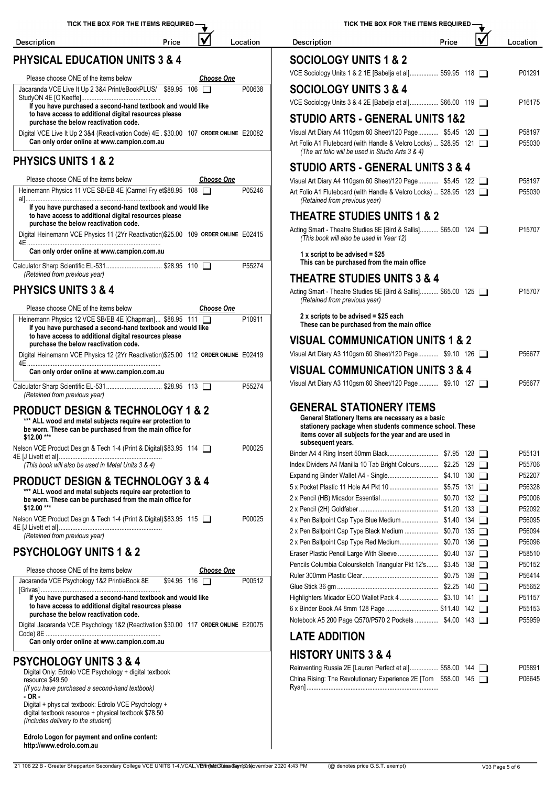| TICK THE BOX FOR THE ITEMS REQUIRED-                                                                                                                          |                     |                   |          | <b>TICK THE BO</b>                                                                                             |
|---------------------------------------------------------------------------------------------------------------------------------------------------------------|---------------------|-------------------|----------|----------------------------------------------------------------------------------------------------------------|
| <b>Description</b>                                                                                                                                            | Price               |                   | Location | <b>Description</b>                                                                                             |
| <b>PHYSICAL EDUCATION UNITS 3 &amp; 4</b>                                                                                                                     |                     |                   |          | <b>SOCIOLOGY UNITS</b>                                                                                         |
| Please choose ONE of the items below                                                                                                                          |                     | <b>Choose One</b> |          | VCE Sociology Units 1 & 2 1E [Bab                                                                              |
| Jacaranda VCE Live It Up 2 3&4 Print/eBookPLUS/ \$89.95 106                                                                                                   |                     |                   | P00638   | <b>SOCIOLOGY UNITS</b>                                                                                         |
| If you have purchased a second-hand textbook and would like<br>to have access to additional digital resources please                                          |                     |                   |          | VCE Sociology Units 3 & 4 2E [Bab                                                                              |
| purchase the below reactivation code.                                                                                                                         |                     |                   |          | <b>STUDIO ARTS - GEN</b>                                                                                       |
| Digital VCE Live It Up 2 3&4 (Reactivation Code) 4E . \$30.00 107 ORDER ONLINE E20082<br>Can only order online at www.campion.com.au                          |                     |                   |          | Visual Art Diary A4 110gsm 60 She<br>Art Folio A1 Fluteboard (with Handl<br>(The art folio will be used in Stu |
| <b>PHYSICS UNITS 1 &amp; 2</b>                                                                                                                                |                     |                   |          | <b>STUDIO ARTS - GEN</b>                                                                                       |
| Please choose ONE of the items below                                                                                                                          |                     | <b>Choose One</b> |          | Visual Art Diary A4 110gsm 60 She                                                                              |
| Heinemann Physics 11 VCE SB/EB 4E [Carmel Fry et\$88.95 108                                                                                                   |                     |                   | P05246   | Art Folio A1 Fluteboard (with Handl<br>(Retained from previous year)                                           |
| If you have purchased a second-hand textbook and would like<br>to have access to additional digital resources please<br>purchase the below reactivation code. |                     |                   |          | <b>THEATRE STUDIES</b>                                                                                         |
| Digital Heinemann VCE Physics 11 (2Yr Reactivation)\$25.00 109 ORDER ONLINE E02415                                                                            |                     |                   |          | Acting Smart - Theatre Studies 8E<br>(This book will also be used in                                           |
| Can only order online at www.campion.com.au                                                                                                                   |                     |                   |          | 1 x script to be advised = $$25$                                                                               |
| Calculator Sharp Scientific EL-531 \$28.95 110<br>(Retained from previous year)                                                                               |                     |                   | P55274   | This can be purchased from t<br><b>THEATRE STUDIES</b>                                                         |
| <b>PHYSICS UNITS 3 &amp; 4</b>                                                                                                                                |                     |                   |          | Acting Smart - Theatre Studies 8E                                                                              |
| Please choose ONE of the items below                                                                                                                          |                     | <b>Choose One</b> |          | (Retained from previous year)                                                                                  |
| Heinemann Physics 12 VCE SB/EB 4E [Chapman] \$88.95 111<br>If you have purchased a second-hand textbook and would like                                        |                     |                   | P10911   | 2 x scripts to be advised = $$2$<br>These can be purchased fron                                                |
| to have access to additional digital resources please<br>purchase the below reactivation code.                                                                |                     |                   |          | <b>VISUAL COMMUNIC.</b>                                                                                        |
| Digital Heinemann VCE Physics 12 (2Yr Reactivation) \$25.00 112 ORDER ONLINE E02419                                                                           |                     |                   |          | Visual Art Diary A3 110gsm 60 She                                                                              |
| Can only order online at www.campion.com.au                                                                                                                   |                     |                   |          | <b>VISUAL COMMUNIC.</b>                                                                                        |
| (Retained from previous year)                                                                                                                                 |                     |                   | P55274   | Visual Art Diary A3 110gsm 60 She                                                                              |
| <b>PRODUCT DESIGN &amp; TECHNOLOGY 1 &amp; 2</b>                                                                                                              |                     |                   |          | <b>GENERAL STATION</b>                                                                                         |
| *** ALL wood and metal subjects require ear protection to<br>be worn. These can be purchased from the main office for<br>\$12.00***                           |                     |                   |          | General Stationery Items are<br>stationery package when stu<br>items cover all subjects for th                 |
| Nelson VCE Product Design & Tech 1-4 (Print & Digital) \$83.95 114                                                                                            |                     |                   | P00025   | subsequent years.                                                                                              |
|                                                                                                                                                               |                     |                   |          | Binder A4 4 Ring Insert 50mm Blac<br>Index Dividers A4 Manilla 10 Tab B                                        |
| (This book will also be used in Metal Units 3 & 4)                                                                                                            |                     |                   |          | Expanding Binder Wallet A4 - Singl                                                                             |
| <b>PRODUCT DESIGN &amp; TECHNOLOGY 3 &amp; 4</b>                                                                                                              |                     |                   |          | 5 x Pocket Plastic 11 Hole A4 Pkt 1                                                                            |
| *** ALL wood and metal subjects require ear protection to<br>be worn. These can be purchased from the main office for<br>\$12.00 ***                          |                     |                   |          | 2 x Pencil (HB) Micador Essential<br>2 x Pencil (2H) Goldfaber                                                 |
| Nelson VCE Product Design & Tech 1-4 (Print & Digital) \$83.95 115                                                                                            |                     |                   | P00025   | 4 x Pen Ballpoint Cap Type Blue M                                                                              |
| (Retained from previous year)                                                                                                                                 |                     |                   |          | 2 x Pen Ballpoint Cap Type Black N                                                                             |
| <b>PSYCHOLOGY UNITS 1 &amp; 2</b>                                                                                                                             |                     |                   |          | 2 x Pen Ballpoint Cap Type Red Me<br>Eraser Plastic Pencil Large With SI                                       |
| Please choose ONE of the items below                                                                                                                          |                     | <u>Choose One</u> |          | Pencils Columbia Coloursketch Tria<br>Ruler 300mm Plastic Clear                                                |
| Jacaranda VCE Psychology 1&2 Print/eBook 8E                                                                                                                   | $$94.95$ 116 $\Box$ |                   | P00512   |                                                                                                                |
| If you have purchased a second-hand textbook and would like<br>to have access to additional digital resources please<br>purchase the below reactivation code. |                     |                   |          | Highlighters Micador ECO Wallet P<br>6 x Binder Book A4 8mm 128 Page                                           |
| Digital Jacaranda VCE Psychology 1&2 (Reactivation \$30.00 117 ORDER ONLINE E20075                                                                            |                     |                   |          | Notebook A5 200 Page Q570/P570                                                                                 |
| Can only order online at www.campion.com.au                                                                                                                   |                     |                   |          | <b>LATE ADDITION</b>                                                                                           |
| <b>PSYCHOLOGY UNITS 3 &amp; 4</b>                                                                                                                             |                     |                   |          | <b>HISTORY UNITS 3 &amp;</b>                                                                                   |
| Digital Only: Edrolo VCE Psychology + digital textbook<br>resource \$49.50                                                                                    |                     |                   |          | Reinventing Russia 2E [Lauren Per<br>China Rising: The Revolutionary Ex                                        |
| (If you have purchased a second-hand textbook)<br>$-OR -$                                                                                                     |                     |                   |          |                                                                                                                |
| Digital + physical textbook: Edrolo VCE Psychology +                                                                                                          |                     |                   |          |                                                                                                                |

*(Includes delivery to the student)* **Edrolo Logon for payment and online content:**

**http://www.edrolo.com.au**

21 106 22 B - Greater Shepparton Secondary College VCE UNITS 1-4, VCAL, VErrinted: Tuires Campus Devember 2020 4:43 PM (@ denotes price G.S.T. exempt) V03 Page 5 of 6

| TICK THE BOX FOR THE ITEMS REQUIRED.                                                                                             | TICK THE BOX FOR THE ITEMS REQUIRED.                                                                                       |                  |
|----------------------------------------------------------------------------------------------------------------------------------|----------------------------------------------------------------------------------------------------------------------------|------------------|
| V<br>Price<br>Location<br>scription؛                                                                                             | V<br><b>Description</b><br>Price                                                                                           | Location         |
| <b>IYSICAL EDUCATION UNITS 3 &amp; 4</b>                                                                                         | <b>SOCIOLOGY UNITS 1 &amp; 2</b>                                                                                           |                  |
|                                                                                                                                  | VCE Sociology Units 1 & 2 1E [Babelja et al] \$59.95 118                                                                   | P01291           |
| Please choose ONE of the items below<br><b>Choose One</b><br>caranda VCE Live It Up 2 3&4 Print/eBookPLUS/ \$89.95 106<br>P00638 | <b>SOCIOLOGY UNITS 3 &amp; 4</b>                                                                                           |                  |
|                                                                                                                                  |                                                                                                                            |                  |
| If you have purchased a second-hand textbook and would like                                                                      | VCE Sociology Units 3 & 4 2E [Babelja et al] \$66.00 119                                                                   | P16175           |
| to have access to additional digital resources please<br>purchase the below reactivation code.                                   | <b>STUDIO ARTS - GENERAL UNITS 1&amp;2</b>                                                                                 |                  |
| gital VCE Live It Up 2 3&4 (Reactivation Code) 4E . \$30.00 107 ORDER ONLINE E20082                                              | Visual Art Diary A4 110gsm 60 Sheet/120 Page \$5.45 120                                                                    | P58197           |
| Can only order online at www.campion.com.au                                                                                      | Art Folio A1 Fluteboard (with Handle & Velcro Locks)  \$28.95 121                                                          | P55030           |
| <b>IYSICS UNITS 1 &amp; 2</b>                                                                                                    | (The art folio will be used in Studio Arts 3 & 4)                                                                          |                  |
|                                                                                                                                  | <b>STUDIO ARTS - GENERAL UNITS 3 &amp; 4</b>                                                                               |                  |
| Please choose ONE of the items below<br><u>Choose One</u>                                                                        | Visual Art Diary A4 110gsm 60 Sheet/120 Page \$5.45 122                                                                    | P58197           |
| einemann Physics 11 VCE SB/EB 4E [Carmel Fry et\$88.95 108 □<br>P05246                                                           | Art Folio A1 Fluteboard (with Handle & Velcro Locks)  \$28.95 123<br>(Retained from previous year)                         | P55030           |
| If you have purchased a second-hand textbook and would like                                                                      |                                                                                                                            |                  |
| to have access to additional digital resources please<br>purchase the below reactivation code.                                   | <b>THEATRE STUDIES UNITS 1 &amp; 2</b>                                                                                     |                  |
| igital Heinemann VCE Physics 11 (2Yr Reactivation)\$25.00 109 ORDER ONLINE E02415                                                | Acting Smart - Theatre Studies 8E [Bird & Sallis] \$65.00 124<br>(This book will also be used in Year 12)                  | P15707           |
| Can only order online at www.campion.com.au                                                                                      |                                                                                                                            |                  |
|                                                                                                                                  | 1 x script to be advised = $$25$<br>This can be purchased from the main office                                             |                  |
| culator Sharp Scientific EL-531 \$28.95 110<br>P55274<br>(Retained from previous year)                                           |                                                                                                                            |                  |
| IYSICS UNITS 3 & 4                                                                                                               | <b>THEATRE STUDIES UNITS 3 &amp; 4</b>                                                                                     |                  |
|                                                                                                                                  | Acting Smart - Theatre Studies 8E [Bird & Sallis] \$65.00 125<br>(Retained from previous year)                             | P15707           |
| Please choose ONE of the items below<br><b>Choose One</b>                                                                        |                                                                                                                            |                  |
| P10911<br>einemann Physics 12 VCE SB/EB 4E [Chapman] \$88.95 111                                                                 | 2 x scripts to be advised = \$25 each<br>These can be purchased from the main office                                       |                  |
| If you have purchased a second-hand textbook and would like<br>to have access to additional digital resources please             |                                                                                                                            |                  |
| purchase the below reactivation code.                                                                                            | <b>VISUAL COMMUNICATION UNITS 1 &amp; 2</b>                                                                                |                  |
| gital Heinemann VCE Physics 12 (2Yr Reactivation)\$25.00 112 ORDER ONLINE E02419                                                 | Visual Art Diary A3 110gsm 60 Sheet/120 Page \$9.10 126                                                                    | P56677           |
| Can only order online at www.campion.com.au                                                                                      | <b>VISUAL COMMUNICATION UNITS 3 &amp; 4</b>                                                                                |                  |
| culator Sharp Scientific EL-531 \$28.95 113<br>P55274<br>(Retained from previous year)                                           | Visual Art Diary A3 110gsm 60 Sheet/120 Page \$9.10 127                                                                    | P56677           |
| <b>RODUCT DESIGN &amp; TECHNOLOGY 1 &amp; 2</b>                                                                                  | <b>GENERAL STATIONERY ITEMS</b>                                                                                            |                  |
| *** ALL wood and metal subjects require ear protection to                                                                        | General Stationery Items are necessary as a basic                                                                          |                  |
| be worn. These can be purchased from the main office for<br>\$12.00 ***                                                          | stationery package when students commence school. These<br>items cover all subjects for the year and are used in           |                  |
| P00025                                                                                                                           | subsequent years.                                                                                                          |                  |
|                                                                                                                                  |                                                                                                                            | P55131           |
| (This book will also be used in Metal Units 3 & 4)                                                                               | Index Dividers A4 Manilla 10 Tab Bright Colours \$2.25 129                                                                 | P55706           |
| <b>RODUCT DESIGN &amp; TECHNOLOGY 3 &amp; 4</b>                                                                                  |                                                                                                                            | P52207           |
| *** ALL wood and metal subjects require ear protection to                                                                        |                                                                                                                            | P56328<br>P50006 |
| be worn. These can be purchased from the main office for<br>\$12.00 ***                                                          |                                                                                                                            | P52092           |
| P00025                                                                                                                           |                                                                                                                            | P56095           |
| (Retained from previous year)                                                                                                    |                                                                                                                            | P56094           |
|                                                                                                                                  |                                                                                                                            | P56096           |
| 3YCHOLOGY UNITS 1 & 2                                                                                                            | Eraser Plastic Pencil Large With Sleeve  \$0.40 137                                                                        | P58510           |
| Please choose ONE of the items below<br><b>Choose One</b>                                                                        | Pencils Columbia Coloursketch Triangular Pkt 12's \$3.45 138                                                               | P50152           |
| caranda VCE Psychology 1&2 Print/eBook 8E<br>P00512<br>$$94.95$ 116 $\Box$                                                       |                                                                                                                            | P56414           |
| If you have purchased a second-hand textbook and would like                                                                      |                                                                                                                            | P55652<br>P51157 |
| to have access to additional digital resources please                                                                            | 6 x Binder Book A4 8mm 128 Page  \$11.40 142                                                                               | P55153           |
| purchase the below reactivation code.                                                                                            | Notebook A5 200 Page Q570/P570 2 Pockets  \$4.00 143                                                                       | P55959           |
| gital Jacaranda VCE Psychology 1&2 (Reactivation \$30.00 117 ORDER ONLINE E20075                                                 | <b>LATE ADDITION</b>                                                                                                       |                  |
| Can only order online at www.campion.com.au                                                                                      | <b>HISTORY UNITS 3 &amp; 4</b>                                                                                             |                  |
| 3 SYCHOLOGY UNITS 3 & 4                                                                                                          |                                                                                                                            |                  |
| Digital Only: Edrolo VCE Psychology + digital textbook                                                                           | Reinventing Russia 2E [Lauren Perfect et al] \$58.00 144<br>China Rising: The Revolutionary Experience 2E [Tom \$58.00 145 | P05891<br>P06645 |
| resource \$49.50<br>(If you have purchased a second-hand textbook)                                                               |                                                                                                                            |                  |
| - OR -                                                                                                                           |                                                                                                                            |                  |
| Digital + physical textbook: Edrolo VCE Psychology +<br>digital textbook resource + physical textbook \$78.50                    |                                                                                                                            |                  |